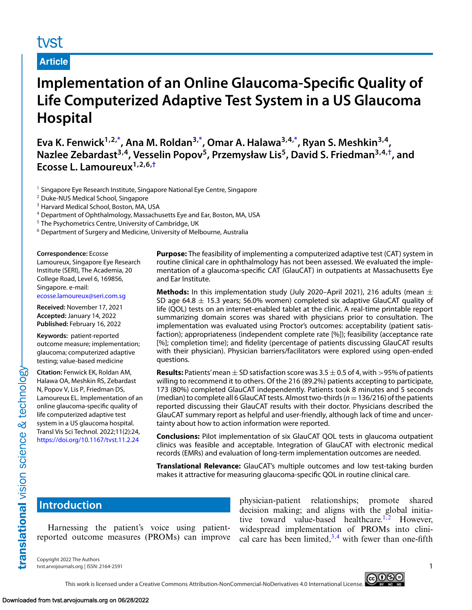# tyst

# **Article**

# **Implementation of an Online Glaucoma-Specific Quality of Life Computerized Adaptive Test System in a US Glaucoma Hospital**

**Eva K. Fenwick1,2[,\\*](#page-8-0) , Ana M. Roldan3[,\\*](#page-8-0) , Omar A. Halawa3,4[,\\*](#page-8-0) , Ryan S. Meshkin3,4, Nazlee Zebardast3,4, Vesselin Popov5, Przemysław Lis5, David S. Friedman3,4[,†,](#page-8-0) and Ecosse L. Lamoureux1,2,6[,†](#page-8-0)**

<sup>1</sup> Singapore Eye Research Institute, Singapore National Eye Centre, Singapore

- <sup>2</sup> Duke-NUS Medical School, Singapore
- <sup>3</sup> Harvard Medical School, Boston, MA, USA

<sup>4</sup> Department of Ophthalmology, Massachusetts Eye and Ear, Boston, MA, USA

- <sup>5</sup> The Psychometrics Centre, University of Cambridge, UK
- <sup>6</sup> Department of Surgery and Medicine, University of Melbourne, Australia

**Correspondence:** Ecosse

Lamoureux, Singapore Eye Research Institute (SERI), The Academia, 20 College Road, Level 6, 169856, Singapore. e-mail:

[ecosse.lamoureux@seri.com.sg](mailto:ecosse.lamoureux@seri.com.sg)

**Received:** November 17, 2021 **Accepted:** January 14, 2022 **Published:** February 16, 2022

**Keywords:** patient-reported outcome measure; implementation; glaucoma; computerized adaptive testing; value-based medicine

**Citation:** Fenwick EK, Roldan AM, Halawa OA, Meshkin RS, Zebardast N, Popov V, Lis P, Friedman DS, Lamoureux EL. Implementation of an online glaucoma-specific quality of life computerized adaptive test system in a US glaucoma hospital. Transl Vis Sci Technol. 2022;11(2):24, <https://doi.org/10.1167/tvst.11.2.24>

**Purpose:** The feasibility of implementing a computerized adaptive test (CAT) system in routine clinical care in ophthalmology has not been assessed. We evaluated the implementation of a glaucoma-specific CAT (GlauCAT) in outpatients at Massachusetts Eye and Ear Institute.

**Methods:** In this implementation study (July 2020–April 2021), 216 adults (mean  $\pm$ SD age 64.8  $\pm$  15.3 years; 56.0% women) completed six adaptive GlauCAT quality of life (QOL) tests on an internet-enabled tablet at the clinic. A real-time printable report summarizing domain scores was shared with physicians prior to consultation. The implementation was evaluated using Proctor's outcomes: acceptability (patient satisfaction); appropriateness (independent complete rate [%]); feasibility (acceptance rate [%]; completion time); and fidelity (percentage of patients discussing GlauCAT results with their physician). Physician barriers/facilitators were explored using open-ended questions.

**Results:** Patients' mean  $\pm$  SD satisfaction score was 3.5  $\pm$  0.5 of 4, with >95% of patients willing to recommend it to others. Of the 216 (89.2%) patients accepting to participate, 173 (80%) completed GlauCAT independently. Patients took 8 minutes and 5 seconds (median) to complete all 6 GlauCAT tests. Almost two-thirds (*n*=136/216) of the patients reported discussing their GlauCAT results with their doctor. Physicians described the GlauCAT summary report as helpful and user-friendly, although lack of time and uncertainty about how to action information were reported.

**Conclusions:** Pilot implementation of six GlauCAT QOL tests in glaucoma outpatient clinics was feasible and acceptable. Integration of GlauCAT with electronic medical records (EMRs) and evaluation of long-term implementation outcomes are needed.

**Translational Relevance:** GlauCAT's multiple outcomes and low test-taking burden makes it attractive for measuring glaucoma-specific QOL in routine clinical care.

# **Introduction**

Harnessing the patient's voice using patientreported outcome measures (PROMs) can improve

physician-patient relationships; promote shared decision making; and aligns with the global initia-tive toward value-based healthcare.<sup>[1,2](#page-8-0)</sup> However, widespread implementation of PROMs into clinical care has been limited,  $3,4$  with fewer than one-fifth

Copyright 2022 The Authors tvst.arvojournals.org | ISSN: 2164-2591 1

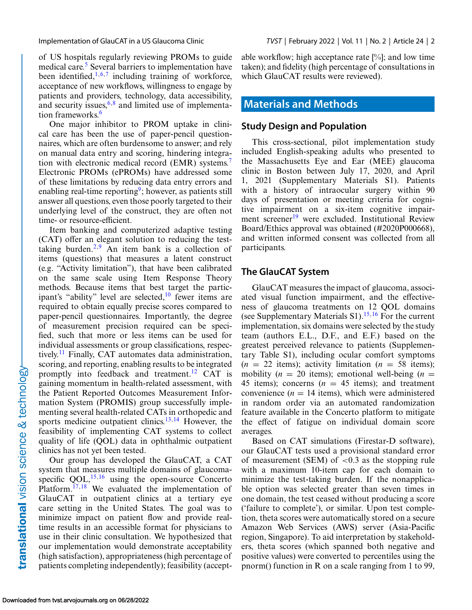of US hospitals regularly reviewing PROMs to guide medical care.<sup>[5](#page-8-0)</sup> Several barriers to implementation have been identified,  $1,6,7$  including training of workforce, acceptance of new workflows, willingness to engage by patients and providers, technology, data accessibility, and security issues,  $6,8$  and limited use of implementa-tion frameworks.<sup>[6](#page-8-0)</sup>

One major inhibitor to PROM uptake in clinical care has been the use of paper-pencil questionnaires, which are often burdensome to answer; and rely on manual data entry and scoring, hindering integration with electronic medical record (EMR) systems.[7](#page-8-0) Electronic PROMs (ePROMs) have addressed some of these limitations by reducing data entry errors and enabling real-time reporting<sup>9</sup>; however, as patients still answer all questions, even those poorly targeted to their underlying level of the construct, they are often not time- or resource-efficient.

Item banking and computerized adaptive testing (CAT) offer an elegant solution to reducing the test-taking burden.<sup>[2,9](#page-8-0)</sup> An item bank is a collection of items (questions) that measures a latent construct (e.g. "Activity limitation"), that have been calibrated on the same scale using Item Response Theory methods. Because items that best target the partic-ipant's "ability" level are selected,<sup>[10](#page-8-0)</sup> fewer items are required to obtain equally precise scores compared to paper-pencil questionnaires. Importantly, the degree of measurement precision required can be specified, such that more or less items can be used for individual assessments or group classifications, respectively.<sup>11</sup> Finally, CAT automates data administration, scoring, and reporting, enabling results to be integrated promptly into feedback and treatment.<sup>[12](#page-8-0)</sup> CAT is gaining momentum in health-related assessment, with the Patient Reported Outcomes Measurement Information System (PROMIS) group successfully implementing several health-related CATs in orthopedic and sports medicine outpatient clinics. $13,14$  $13,14$  However, the feasibility of implementing CAT systems to collect quality of life (QOL) data in ophthalmic outpatient clinics has not yet been tested.

Our group has developed the GlauCAT, a CAT system that measures multiple domains of glaucomaspecific  $QOL$ ,<sup>[15,16](#page-9-0)</sup> using the open-source Concerto Platform. $17,18$  We evaluated the implementation of GlauCAT in outpatient clinics at a tertiary eye care setting in the United States. The goal was to minimize impact on patient flow and provide realtime results in an accessible format for physicians to use in their clinic consultation. We hypothesized that our implementation would demonstrate acceptability (high satisfaction), appropriateness (high percentage of patients completing independently); feasibility (acceptable workflow; high acceptance rate  $[\%]$ ; and low time taken); and fidelity (high percentage of consultations in which GlauCAT results were reviewed).

# **Materials and Methods**

# **Study Design and Population**

This cross-sectional, pilot implementation study included English-speaking adults who presented to the Massachusetts Eye and Ear (MEE) glaucoma clinic in Boston between July 17, 2020, and April 1, 2021 (Supplementary Materials S1). Patients with a history of intraocular surgery within 90 days of presentation or meeting criteria for cognitive impairment on a six-item cognitive impair-ment screener<sup>[19](#page-9-0)</sup> were excluded. Institutional Review Board/Ethics approval was obtained (#2020P000668), and written informed consent was collected from all participants.

# **The GlauCAT System**

GlauCAT measures the impact of glaucoma, associated visual function impairment, and the effectiveness of glaucoma treatments on 12 QOL domains (see Supplementary Materials S1).<sup>15,16</sup> For the current implementation, six domains were selected by the study team (authors E.L., D.F., and E.F.) based on the greatest perceived relevance to patients (Supplementary Table S1), including ocular comfort symptoms  $(n = 22$  items); activity limitation  $(n = 58$  items); mobility ( $n = 20$  items); emotional well-being ( $n =$ 45 items); concerns  $(n = 45$  items); and treatment convenience  $(n = 14$  items), which were administered in random order via an automated randomization feature available in the Concerto platform to mitigate the effect of fatigue on individual domain score averages.

Based on CAT simulations (Firestar-D software), our GlauCAT tests used a provisional standard error of measurement (SEM) of  $< 0.3$  as the stopping rule with a maximum 10-item cap for each domain to minimize the test-taking burden. If the nonapplicable option was selected greater than seven times in one domain, the test ceased without producing a score ('failure to complete'), or similar. Upon test completion, theta scores were automatically stored on a secure Amazon Web Services (AWS) server (Asia-Pacific region, Singapore). To aid interpretation by stakeholders, theta scores (which spanned both negative and positive values) were converted to percentiles using the pnorm() function in R on a scale ranging from 1 to 99,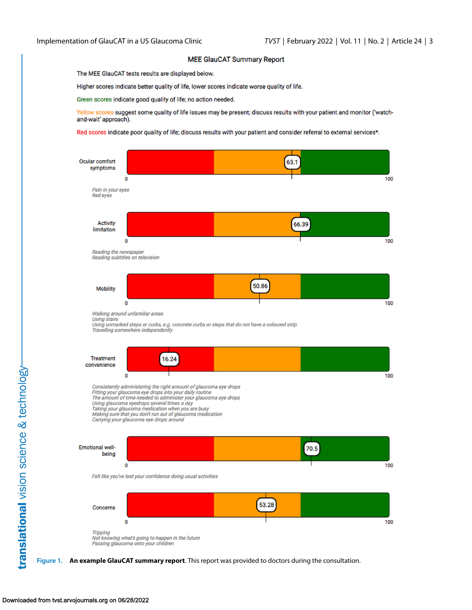#### **MEE GlauCAT Summary Report**

<span id="page-2-0"></span>The MEE GlauCAT tests results are displayed below.

Higher scores indicate better quality of life, lower scores indicate worse quality of life.

Green scores indicate good quality of life; no action needed.

Yellow scores suggest some quality of life issues may be present; discuss results with your patient and monitor ('watchand-wait' approach).

Red scores indicate poor quality of life; discuss results with your patient and consider referral to external services\*.



translational vision science & technology-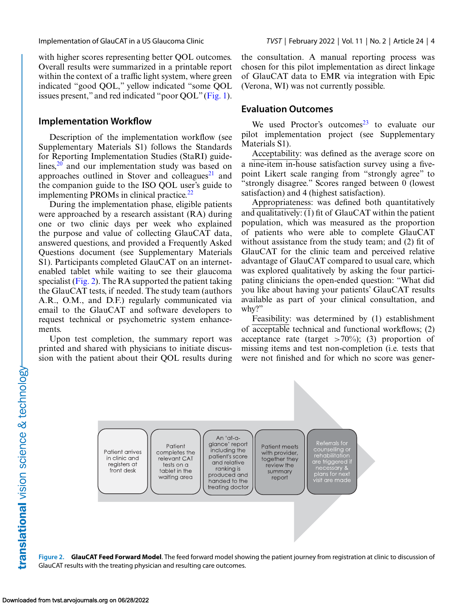<span id="page-3-0"></span>

with higher scores representing better QOL outcomes. Overall results were summarized in a printable report within the context of a traffic light system, where green indicated "good QOL," yellow indicated "some QOL issues present," and red indicated "poor QOL" [\(Fig. 1\)](#page-2-0).

## **Implementation Workflow**

Description of the implementation workflow (see Supplementary Materials S1) follows the Standards for Reporting Implementation Studies (StaRI) guidelines,<sup>20</sup> and our implementation study was based on approaches outlined in Stover and colleagues $21$  and the companion guide to the ISO QOL user's guide to implementing PROMs in clinical practice. $^{22}$  $^{22}$  $^{22}$ 

During the implementation phase, eligible patients were approached by a research assistant (RA) during one or two clinic days per week who explained the purpose and value of collecting GlauCAT data, answered questions, and provided a Frequently Asked Questions document (see Supplementary Materials S1). Participants completed GlauCAT on an internetenabled tablet while waiting to see their glaucoma specialist (Fig. 2). The RA supported the patient taking the GlauCAT tests, if needed. The study team (authors A.R., O.M., and D.F.) regularly communicated via email to the GlauCAT and software developers to request technical or psychometric system enhancements.

Upon test completion, the summary report was printed and shared with physicians to initiate discussion with the patient about their QOL results during the consultation. A manual reporting process was chosen for this pilot implementation as direct linkage of GlauCAT data to EMR via integration with Epic (Verona, WI) was not currently possible.

## **Evaluation Outcomes**

We used Proctor's outcomes<sup>[23](#page-9-0)</sup> to evaluate our pilot implementation project (see Supplementary Materials S1).

Acceptability: was defined as the average score on a nine-item in-house satisfaction survey using a fivepoint Likert scale ranging from "strongly agree" to "strongly disagree." Scores ranged between 0 (lowest satisfaction) and 4 (highest satisfaction).

Appropriateness: was defined both quantitatively and qualitatively: (1) fit of GlauCAT within the patient population, which was measured as the proportion of patients who were able to complete GlauCAT without assistance from the study team; and (2) fit of GlauCAT for the clinic team and perceived relative advantage of GlauCAT compared to usual care, which was explored qualitatively by asking the four participating clinicians the open-ended question: "What did you like about having your patients' GlauCAT results available as part of your clinical consultation, and why?"

Feasibility: was determined by (1) establishment of acceptable technical and functional workflows; (2) acceptance rate (target  $>70\%$ ); (3) proportion of missing items and test non-completion (i.e. tests that were not finished and for which no score was gener-



**Figure 2. GlauCAT Feed Forward Model**. The feed forward model showing the patient journey from registration at clinic to discussion of GlauCAT results with the treating physician and resulting care outcomes.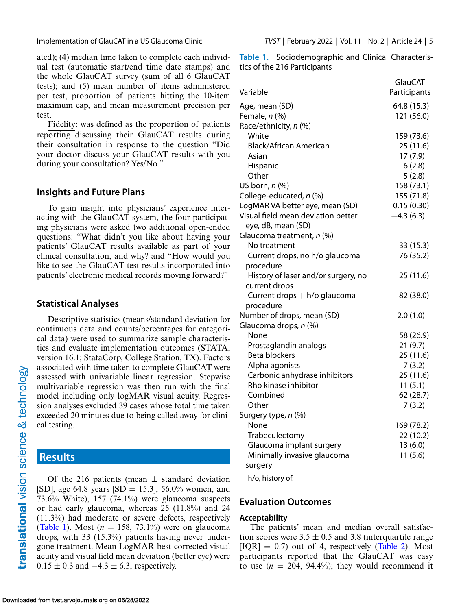ated); (4) median time taken to complete each individual test (automatic start/end time date stamps) and the whole GlauCAT survey (sum of all 6 GlauCAT tests); and (5) mean number of items administered per test, proportion of patients hitting the 10-item maximum cap, and mean measurement precision per test.

Fidelity: was defined as the proportion of patients reporting discussing their GlauCAT results during their consultation in response to the question "Did your doctor discuss your GlauCAT results with you during your consultation? Yes/No."

#### **Insights and Future Plans**

To gain insight into physicians' experience interacting with the GlauCAT system, the four participating physicians were asked two additional open-ended questions: "What didn't you like about having your patients' GlauCAT results available as part of your clinical consultation, and why? and "How would you like to see the GlauCAT test results incorporated into patients' electronic medical records moving forward?"

#### **Statistical Analyses**

Descriptive statistics (means/standard deviation for continuous data and counts/percentages for categorical data) were used to summarize sample characteristics and evaluate implementation outcomes (STATA, version 16.1; StataCorp, College Station, TX). Factors associated with time taken to complete GlauCAT were assessed with univariable linear regression. Stepwise multivariable regression was then run with the final model including only logMAR visual acuity. Regression analyses excluded 39 cases whose total time taken exceeded 20 minutes due to being called away for clinical testing.

### **Results**

Of the 216 patients (mean  $\pm$  standard deviation [SD], age 64.8 years [SD = 15.3], 56.0% women, and 73.6% White), 157 (74.1%) were glaucoma suspects or had early glaucoma, whereas 25 (11.8%) and 24 (11.3%) had moderate or severe defects, respectively (Table 1). Most  $(n = 158, 73.1\%)$  were on glaucoma drops, with 33 (15.3%) patients having never undergone treatment. Mean LogMAR best-corrected visual acuity and visual field mean deviation (better eye) were  $0.15 \pm 0.3$  and  $-4.3 \pm 6.3$ , respectively.

**Table 1.** Sociodemographic and Clinical Characteristics of the 216 Participants

|                                     | GlauCAT      |
|-------------------------------------|--------------|
| Variable                            | Participants |
| Age, mean (SD)                      | 64.8 (15.3)  |
| Female, n (%)                       | 121 (56.0)   |
| Race/ethnicity, n (%)               |              |
| White                               | 159 (73.6)   |
| <b>Black/African American</b>       | 25 (11.6)    |
| Asian                               | 17(7.9)      |
| Hispanic                            | 6(2.8)       |
| Other                               | 5(2.8)       |
| US born, n (%)                      | 158 (73.1)   |
| College-educated, n (%)             | 155 (71.8)   |
| LogMAR VA better eye, mean (SD)     | 0.15(0.30)   |
| Visual field mean deviation better  | $-4.3(6.3)$  |
| eye, dB, mean (SD)                  |              |
| Glaucoma treatment, n (%)           |              |
| No treatment                        | 33 (15.3)    |
| Current drops, no h/o glaucoma      | 76 (35.2)    |
| procedure                           |              |
| History of laser and/or surgery, no | 25(11.6)     |
| current drops                       |              |
| Current drops + h/o glaucoma        | 82 (38.0)    |
| procedure                           |              |
| Number of drops, mean (SD)          | 2.0(1.0)     |
| Glaucoma drops, n (%)               |              |
| None                                | 58 (26.9)    |
| Prostaglandin analogs               | 21(9.7)      |
| <b>Beta blockers</b>                | 25 (11.6)    |
| Alpha agonists                      | 7(3.2)       |
| Carbonic anhydrase inhibitors       | 25 (11.6)    |
| Rho kinase inhibitor                | 11(5.1)      |
| Combined                            | 62 (28.7)    |
| Other                               | 7(3.2)       |
| Surgery type, n (%)                 |              |
| None                                | 169 (78.2)   |
| Trabeculectomy                      | 22 (10.2)    |
| Glaucoma implant surgery            | 13(6.0)      |
| Minimally invasive glaucoma         | 11(5.6)      |
| surgery                             |              |

h/o, history of.

#### **Evaluation Outcomes**

#### **Acceptability**

The patients' mean and median overall satisfaction scores were  $3.5 \pm 0.5$  and 3.8 (interquartile range  $[IQR] = 0.7$  out of 4, respectively [\(Table 2\)](#page-5-0). Most participants reported that the GlauCAT was easy to use  $(n = 204, 94.4\%)$ ; they would recommend it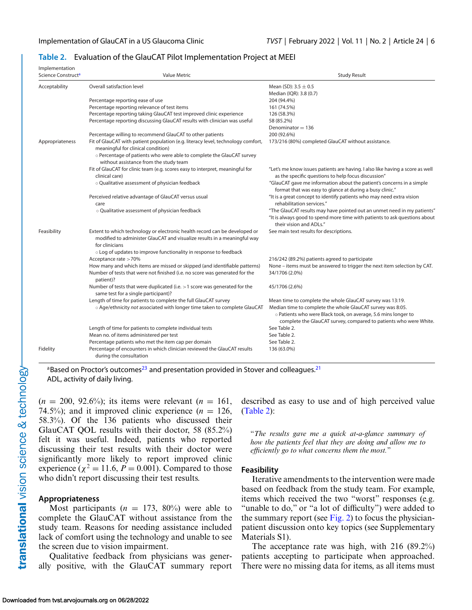#### <span id="page-5-0"></span>**Table 2.** Evaluation of the GlauCAT Pilot Implementation Project at MEEI

| Implementation<br>Science Construct <sup>a</sup> | <b>Value Metric</b>                                                                                                                                                      | <b>Study Result</b>                                                                                                                                                                               |  |  |
|--------------------------------------------------|--------------------------------------------------------------------------------------------------------------------------------------------------------------------------|---------------------------------------------------------------------------------------------------------------------------------------------------------------------------------------------------|--|--|
| Acceptability                                    | Overall satisfaction level                                                                                                                                               | Mean (SD): $3.5 \pm 0.5$                                                                                                                                                                          |  |  |
|                                                  |                                                                                                                                                                          | Median (IQR): 3.8 (0.7)                                                                                                                                                                           |  |  |
|                                                  | Percentage reporting ease of use                                                                                                                                         | 204 (94.4%)                                                                                                                                                                                       |  |  |
|                                                  | Percentage reporting relevance of test items                                                                                                                             | 161 (74.5%)                                                                                                                                                                                       |  |  |
|                                                  | Percentage reporting taking GlauCAT test improved clinic experience                                                                                                      | 126 (58.3%)                                                                                                                                                                                       |  |  |
|                                                  | Percentage reporting discussing GlauCAT results with clinician was useful                                                                                                | 58 (85.2%)                                                                                                                                                                                        |  |  |
|                                                  |                                                                                                                                                                          | Denominator $=$ 136                                                                                                                                                                               |  |  |
|                                                  | Percentage willing to recommend GlauCAT to other patients                                                                                                                | 200 (92.6%)                                                                                                                                                                                       |  |  |
| Appropriateness                                  | Fit of GlauCAT with patient population (e.g. literacy level, technology comfort,<br>meaningful for clinical condition)                                                   | 173/216 (80%) completed GlauCAT without assistance.                                                                                                                                               |  |  |
|                                                  | o Percentage of patients who were able to complete the GlauCAT survey<br>without assistance from the study team                                                          |                                                                                                                                                                                                   |  |  |
|                                                  | Fit of GlauCAT for clinic team (e.g. scores easy to interpret, meaningful for<br>clinical care)                                                                          | "Let's me know issues patients are having. I also like having a score as well<br>as the specific questions to help focus discussion"                                                              |  |  |
|                                                  | o Qualitative assessment of physician feedback                                                                                                                           | "GlauCAT gave me information about the patient's concerns in a simple<br>format that was easy to glance at during a busy clinic."                                                                 |  |  |
|                                                  | Perceived relative advantage of GlauCAT versus usual<br>care                                                                                                             | "It is a great concept to identify patients who may need extra vision<br>rehabilitation services."                                                                                                |  |  |
|                                                  | o Qualitative assessment of physician feedback                                                                                                                           | "The GlauCAT results may have pointed out an unmet need in my patients"<br>"It is always good to spend more time with patients to ask questions about<br>their vision and ADLs."                  |  |  |
| Feasibility                                      | Extent to which technology or electronic health record can be developed or<br>modified to administer GlauCAT and visualize results in a meaningful way<br>for clinicians | See main text results for descriptions.                                                                                                                                                           |  |  |
|                                                  | o Log of updates to improve functionality in response to feedback                                                                                                        |                                                                                                                                                                                                   |  |  |
|                                                  | Acceptance rate >70%                                                                                                                                                     | 216/242 (89.2%) patients agreed to participate                                                                                                                                                    |  |  |
|                                                  | How many and which items are missed or skipped (and identifiable patterns)                                                                                               | None – items must be answered to trigger the next item selection by CAT.                                                                                                                          |  |  |
|                                                  | Number of tests that were not finished (i.e. no score was generated for the<br>patient)?                                                                                 | 34/1706 (2.0%)                                                                                                                                                                                    |  |  |
|                                                  | Number of tests that were duplicated (i.e. > 1 score was generated for the<br>same test for a single participant)?                                                       | 45/1706 (2.6%)                                                                                                                                                                                    |  |  |
|                                                  | Length of time for patients to complete the full GlauCAT survey                                                                                                          | Mean time to complete the whole GlauCAT survey was 13:19.                                                                                                                                         |  |  |
|                                                  | o Age/ethnicity not associated with longer time taken to complete GlauCAT                                                                                                | Median time to complete the whole GlauCAT survey was 8:05.<br>o Patients who were Black took, on average, 5.6 mins longer to<br>complete the GlauCAT survey, compared to patients who were White. |  |  |
|                                                  | Length of time for patients to complete individual tests                                                                                                                 | See Table 2.                                                                                                                                                                                      |  |  |
|                                                  | Mean no. of items administered per test                                                                                                                                  | See Table 2.                                                                                                                                                                                      |  |  |
|                                                  | Percentage patients who met the item cap per domain                                                                                                                      | See Table 2.                                                                                                                                                                                      |  |  |
| Fidelity                                         | Percentage of encounters in which clinician reviewed the GlauCAT results<br>during the consultation                                                                      | 136 (63.0%)                                                                                                                                                                                       |  |  |

<sup>a</sup>Based on Proctor's outcomes<sup>23</sup> and presentation provided in Stover and colleagues.<sup>21</sup> ADL, activity of daily living.

 $(n = 200, 92.6\%)$ ; its items were relevant  $(n = 161,$ 74.5%); and it improved clinic experience  $(n = 126,$ 58.3%). Of the 136 patients who discussed their GlauCAT QOL results with their doctor, 58 (85.2%) felt it was useful. Indeed, patients who reported discussing their test results with their doctor were significantly more likely to report improved clinic experience ( $\chi^2 = 11.6$ ,  $P = 0.001$ ). Compared to those who didn't report discussing their test results.

#### **Appropriateness**

Most participants  $(n = 173, 80\%)$  were able to complete the GlauCAT without assistance from the study team. Reasons for needing assistance included lack of comfort using the technology and unable to see the screen due to vision impairment.

Qualitative feedback from physicians was generally positive, with the GlauCAT summary report described as easy to use and of high perceived value (Table 2):

"*The results gave me a quick at-a-glance summary of how the patients feel that they are doing and allow me to efficiently go to what concerns them the most.*"

#### **Feasibility**

Iterative amendments to the intervention were made based on feedback from the study team. For example, items which received the two "worst" responses (e.g. "unable to do," or "a lot of difficulty") were added to the summary report (see [Fig. 2\)](#page-3-0) to focus the physicianpatient discussion onto key topics (see Supplementary Materials S1).

The acceptance rate was high, with 216 (89.2%) patients accepting to participate when approached. There were no missing data for items, as all items must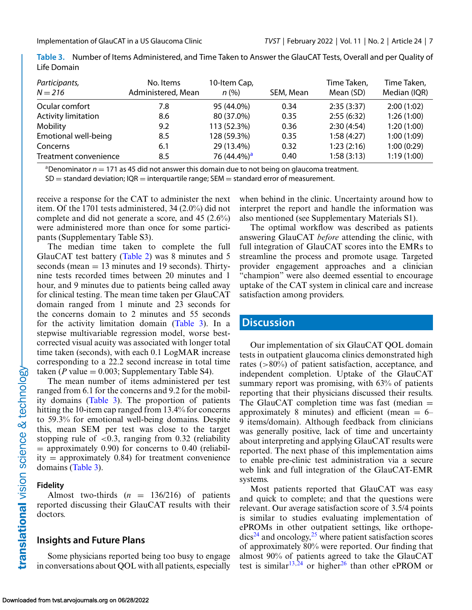| Participants,<br>$N = 216$  | No. Items<br>Administered, Mean | 10-Item Cap,<br>n(%)    | SEM, Mean | Time Taken,<br>Mean (SD) | Time Taken,<br>Median (IQR) |
|-----------------------------|---------------------------------|-------------------------|-----------|--------------------------|-----------------------------|
| Ocular comfort              | 7.8                             | 95 (44.0%)              | 0.34      | 2:35(3:37)               | 2:00(1:02)                  |
| <b>Activity limitation</b>  | 8.6                             | 80 (37.0%)              | 0.35      | 2:55(6:32)               | 1:26(1:00)                  |
| Mobility                    | 9.2                             | 113 (52.3%)             | 0.36      | 2:30(4:54)               | 1:20(1:00)                  |
| <b>Emotional well-being</b> | 8.5                             | 128 (59.3%)             | 0.35      | 1:58(4:27)               | 1:00(1:09)                  |
| Concerns                    | 6.1                             | 29 (13.4%)              | 0.32      | 1:23(2:16)               | 1:00(0:29)                  |
| Treatment convenience       | 8.5                             | 76 (44.4%) <sup>a</sup> | 0.40      | 1:58(3:13)               | 1:19(1:00)                  |

**Table 3.** Number of Items Administered, and Time Taken to Answer the GlauCAT Tests, Overall and per Quality of Life Domain

<sup>a</sup>Denominator  $n = 171$  as 45 did not answer this domain due to not being on glaucoma treatment.

 $SD =$  standard deviation;  $IQR =$  interquartile range; SEM = standard error of measurement.

receive a response for the CAT to administer the next item. Of the 1701 tests administered, 34 (2.0%) did not complete and did not generate a score, and 45 (2.6%) were administered more than once for some participants (Supplementary Table S3).

The median time taken to complete the full GlauCAT test battery [\(Table 2\)](#page-5-0) was 8 minutes and 5 seconds (mean  $= 13$  minutes and 19 seconds). Thirtynine tests recorded times between 20 minutes and 1 hour, and 9 minutes due to patients being called away for clinical testing. The mean time taken per GlauCAT domain ranged from 1 minute and 23 seconds for the concerns domain to 2 minutes and 55 seconds for the activity limitation domain (Table 3). In a stepwise multivariable regression model, worse bestcorrected visual acuity was associated with longer total time taken (seconds), with each 0.1 LogMAR increase corresponding to a 22.2 second increase in total time taken (*P* value  $= 0.003$ ; Supplementary Table S4).

The mean number of items administered per test ranged from 6.1 for the concerns and 9.2 for the mobility domains (Table 3). The proportion of patients hitting the 10-item cap ranged from 13.4% for concerns to 59.3% for emotional well-being domains. Despite this, mean SEM per test was close to the target stopping rule of  $\langle 0.3$ , ranging from 0.32 (reliability  $=$  approximately 0.90) for concerns to 0.40 (reliabil $ity = approximately 0.84$ ) for treatment convenience domains (Table 3).

#### **Fidelity**

Almost two-thirds  $(n = 136/216)$  of patients reported discussing their GlauCAT results with their doctors.

# **Insights and Future Plans**

Some physicians reported being too busy to engage in conversations about QOL with all patients, especially

when behind in the clinic. Uncertainty around how to interpret the report and handle the information was also mentioned (see Supplementary Materials S1).

The optimal workflow was described as patients answering GlauCAT *before* attending the clinic, with full integration of GlauCAT scores into the EMRs to streamline the process and promote usage. Targeted provider engagement approaches and a clinician "champion" were also deemed essential to encourage uptake of the CAT system in clinical care and increase satisfaction among providers.

## **Discussion**

Our implementation of six GlauCAT QOL domain tests in outpatient glaucoma clinics demonstrated high rates (>80%) of patient satisfaction, acceptance, and independent completion. Uptake of the GlauCAT summary report was promising, with 63% of patients reporting that their physicians discussed their results. The GlauCAT completion time was fast (median  $=$ approximately 8 minutes) and efficient (mean  $= 6-$ 9 items/domain). Although feedback from clinicians was generally positive, lack of time and uncertainty about interpreting and applying GlauCAT results were reported. The next phase of this implementation aims to enable pre-clinic test administration via a secure web link and full integration of the GlauCAT-EMR systems.

Most patients reported that GlauCAT was easy and quick to complete; and that the questions were relevant. Our average satisfaction score of 3.5/4 points is similar to studies evaluating implementation of ePROMs in other outpatient settings, like orthope- $\frac{d}{dx}$  and oncology,<sup>[25](#page-9-0)</sup> where patient satisfaction scores of approximately 80% were reported. Our finding that almost 90% of patients agreed to take the GlauCAT test is similar<sup>13,[24](#page-9-0)</sup> or higher<sup>[26](#page-9-0)</sup> than other ePROM or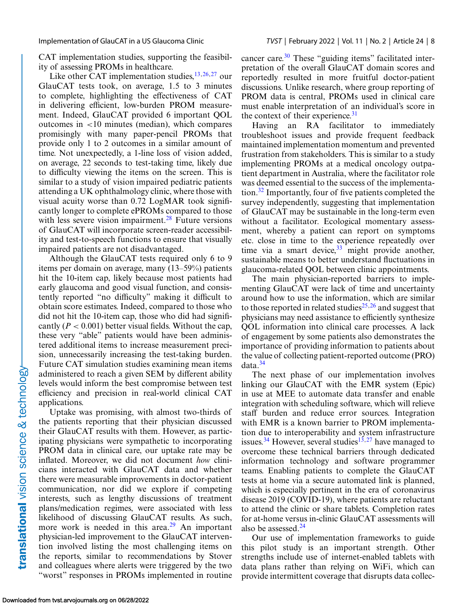CAT implementation studies, supporting the feasibility of assessing PROMs in healthcare.

Like other CAT implementation studies,  $13,26,27$  $13,26,27$  our GlauCAT tests took, on average, 1.5 to 3 minutes to complete, highlighting the effectiveness of CAT in delivering efficient, low-burden PROM measurement. Indeed, GlauCAT provided 6 important QOL outcomes in <10 minutes (median), which compares promisingly with many paper-pencil PROMs that provide only 1 to 2 outcomes in a similar amount of time. Not unexpectedly, a 1-line loss of vision added, on average, 22 seconds to test-taking time, likely due to difficulty viewing the items on the screen. This is similar to a study of vision impaired pediatric patients attending a UK ophthalmology clinic, where those with visual acuity worse than 0.72 LogMAR took significantly longer to complete ePROMs compared to those with less severe vision impairment. $^{28}$  $^{28}$  $^{28}$  Future versions of GlauCAT will incorporate screen-reader accessibility and test-to-speech functions to ensure that visually impaired patients are not disadvantaged.

Although the GlauCAT tests required only 6 to 9 items per domain on average, many (13–59%) patients hit the 10-item cap, likely because most patients had early glaucoma and good visual function, and consistently reported "no difficulty" making it difficult to obtain score estimates. Indeed, compared to those who did not hit the 10-item cap, those who did had significantly  $(P < 0.001)$  better visual fields. Without the cap, these very "able" patients would have been administered additional items to increase measurement precision, unnecessarily increasing the test-taking burden. Future CAT simulation studies examining mean items administered to reach a given SEM by different ability levels would inform the best compromise between test efficiency and precision in real-world clinical CAT applications.

Uptake was promising, with almost two-thirds of the patients reporting that their physician discussed their GlauCAT results with them. However, as participating physicians were sympathetic to incorporating PROM data in clinical care, our uptake rate may be inflated. Moreover, we did not document *how* clinicians interacted with GlauCAT data and whether there were measurable improvements in doctor-patient communication, nor did we explore if competing interests, such as lengthy discussions of treatment plans/medication regimes, were associated with less likelihood of discussing GlauCAT results. As such, more work is needed in this area. $29$  An important physician-led improvement to the GlauCAT intervention involved listing the most challenging items on the reports, similar to recommendations by Stover and colleagues where alerts were triggered by the two "worst" responses in PROMs implemented in routine cancer care. $30$  These "guiding items" facilitated interpretation of the overall GlauCAT domain scores and reportedly resulted in more fruitful doctor-patient discussions. Unlike research, where group reporting of PROM data is central, PROMs used in clinical care must enable interpretation of an individual's score in the context of their experience. $31$ 

Having an RA facilitator to immediately troubleshoot issues and provide frequent feedback maintained implementation momentum and prevented frustration from stakeholders. This is similar to a study implementing PROMs at a medical oncology outpatient department in Australia, where the facilitator role was deemed essential to the success of the implementation[.32](#page-9-0) Importantly, four of five patients completed the survey independently, suggesting that implementation of GlauCAT may be sustainable in the long-term even without a facilitator. Ecological momentary assessment, whereby a patient can report on symptoms etc. close in time to the experience repeatedly over time via a smart device,  $33 \text{ might}$  $33 \text{ might}$  provide another, sustainable means to better understand fluctuations in glaucoma-related QOL between clinic appointments.

The main physician-reported barriers to implementing GlauCAT were lack of time and uncertainty around how to use the information, which are similar to those reported in related studies<sup>[25,26](#page-9-0)</sup> and suggest that physicians may need assistance to efficiently synthesize QOL information into clinical care processes. A lack of engagement by some patients also demonstrates the importance of providing information to patients about the value of collecting patient-reported outcome (PRO) data[.34](#page-9-0)

The next phase of our implementation involves linking our GlauCAT with the EMR system (Epic) in use at MEE to automate data transfer and enable integration with scheduling software, which will relieve staff burden and reduce error sources. Integration with EMR is a known barrier to PROM implementation due to interoperability and system infrastructure issues.<sup>[34](#page-9-0)</sup> However, several studies<sup>[13,](#page-8-0)[27](#page-9-0)</sup> have managed to overcome these technical barriers through dedicated information technology and software programmer teams. Enabling patients to complete the GlauCAT tests at home via a secure automated link is planned, which is especially pertinent in the era of coronavirus disease 2019 (COVID-19), where patients are reluctant to attend the clinic or share tablets. Completion rates for at-home versus in-clinic GlauCAT assessments will also be assessed. $24$ 

Our use of implementation frameworks to guide this pilot study is an important strength. Other strengths include use of internet-enabled tablets with data plans rather than relying on WiFi, which can provide intermittent coverage that disrupts data collec-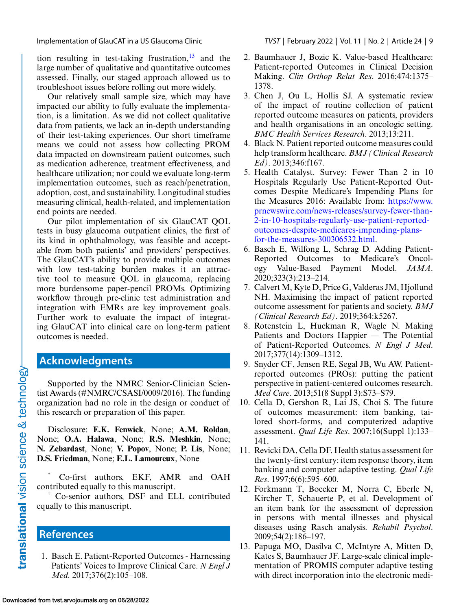tion resulting in test-taking frustration,  $13$  and the large number of qualitative and quantitative outcomes assessed. Finally, our staged approach allowed us to troubleshoot issues before rolling out more widely.

Our relatively small sample size, which may have impacted our ability to fully evaluate the implementation, is a limitation. As we did not collect qualitative data from patients, we lack an in-depth understanding of their test-taking experiences. Our short timeframe means we could not assess how collecting PROM data impacted on downstream patient outcomes, such as medication adherence, treatment effectiveness, and healthcare utilization; nor could we evaluate long-term implementation outcomes, such as reach/penetration, adoption, cost, and sustainability. Longitudinal studies measuring clinical, health-related, and implementation end points are needed.

Our pilot implementation of six GlauCAT QOL tests in busy glaucoma outpatient clinics, the first of its kind in ophthalmology, was feasible and acceptable from both patients' and providers' perspectives. The GlauCAT's ability to provide multiple outcomes with low test-taking burden makes it an attractive tool to measure QOL in glaucoma, replacing more burdensome paper-pencil PROMs. Optimizing workflow through pre-clinic test administration and integration with EMRs are key improvement goals. Further work to evaluate the impact of integrating GlauCAT into clinical care on long-term patient outcomes is needed.

# **Acknowledgments**

Supported by the NMRC Senior-Clinician Scientist Awards (#NMRC/CSASI/0009/2016). The funding organization had no role in the design or conduct of this research or preparation of this paper.

Disclosure: **E.K. Fenwick**, None; **A.M. Roldan**, None; **O.A. Halawa**, None; **R.S. Meshkin**, None; **N. Zebardast**, None; **V. Popov**, None; **P. Lis**, None; **D.S. Friedman**, None; **E.L. Lamoureux**, None

Co-first authors, EKF, AMR and OAH contributed equally to this manuscript.

† Co-senior authors, DSF and ELL contributed equally to this manuscript.

# **References**

1. Basch E. Patient-Reported Outcomes - Harnessing Patients' Voices to Improve Clinical Care. *N Engl J Med*. 2017;376(2):105–108.

<span id="page-8-0"></span>Implementation of GlauCAT in a US Glaucoma Clinic *TVST* | February 2022 | Vol. 11 | No. 2 | Article 24 | 9

- 2. Baumhauer J, Bozic K. Value-based Healthcare: Patient-reported Outcomes in Clinical Decision Making. *Clin Orthop Relat Res*. 2016;474:1375– 1378.
- 3. Chen J, Ou L, Hollis SJ. A systematic review of the impact of routine collection of patient reported outcome measures on patients, providers and health organisations in an oncologic setting. *BMC Health Services Research*. 2013;13:211.
- 4. Black N. Patient reported outcome measures could help transform healthcare. *BMJ (Clinical Research Ed)*. 2013;346:f167.
- 5. Health Catalyst. Survey: Fewer Than 2 in 10 Hospitals Regularly Use Patient-Reported Outcomes Despite Medicare's Impending Plans for the Measures 2016: Available from: https://www. [prnewswire.com/news-releases/survey-fewer-than-](https://www.prnewswire.com/news-releases/survey-fewer-than-2-in-10-hospitals-regularly-use-patient-reported-outcomes-despite-medicares-impending-plans-for-the-measures-300306532.html)2-in-10-hospitals-regularly-use-patient-reportedoutcomes-despite-medicares-impending-plansfor-the-measures-300306532.html.
- 6. Basch E, Wilfong L, Schrag D. Adding Patient-Reported Outcomes to Medicare's Oncology Value-Based Payment Model. *JAMA*. 2020;323(3):213–214.
- 7. Calvert M, Kyte D, Price G, Valderas JM, Hjollund NH. Maximising the impact of patient reported outcome assessment for patients and society. *BMJ (Clinical Research Ed)*. 2019;364:k5267.
- 8. Rotenstein L, Huckman R, Wagle N. Making Patients and Doctors Happier — The Potential of Patient-Reported Outcomes. *N Engl J Med*. 2017;377(14):1309–1312.
- 9. Snyder CF, Jensen RE, Segal JB, Wu AW. Patientreported outcomes (PROs): putting the patient perspective in patient-centered outcomes research. *Med Care*. 2013;51(8 Suppl 3):S73–S79.
- 10. Cella D, Gershon R, Lai JS, Choi S. The future of outcomes measurement: item banking, tailored short-forms, and computerized adaptive assessment. *Qual Life Res*. 2007;16(Suppl 1):133– 141.
- 11. Revicki DA, Cella DF. Health status assessment for the twenty-first century: item response theory, item banking and computer adaptive testing. *Qual Life Res*. 1997;6(6):595–600.
- 12. Forkmann T, Boecker M, Norra C, Eberle N, Kircher T, Schauerte P, et al. Development of an item bank for the assessment of depression in persons with mental illnesses and physical diseases using Rasch analysis. *Rehabil Psychol*. 2009;54(2):186–197.
- 13. Papuga MO, Dasilva C, McIntyre A, Mitten D, Kates S, Baumhauer JF. Large-scale clinical implementation of PROMIS computer adaptive testing with direct incorporation into the electronic medi-